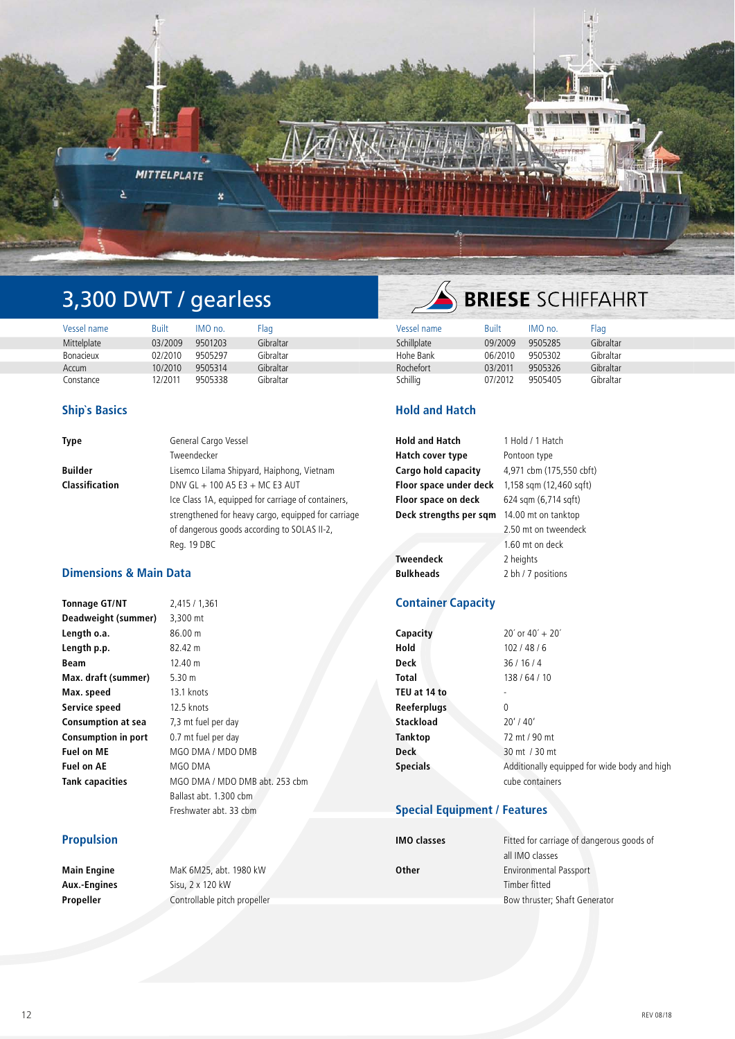

# 3,300 DWT / gearless

| Vessel name | <b>Built</b> | IMO no. | Flag      | Vessel name | Built   | IMO no. | Flad      |
|-------------|--------------|---------|-----------|-------------|---------|---------|-----------|
| Mittelplate | 03/2009      | 9501203 | Gibraltar | Schillplate | 09/2009 | 9505285 | Gibraltar |
| Bonacieux   | 02/2010      | 9505297 | Gibraltar | Hohe Bank   | 06/2010 | 9505302 | Gibraltar |
| Accum       | 10/2010      | 9505314 | Gibraltar | Rochefort   | 03/2011 | 9505326 | Gibraltar |
| Constance   | 2/2011       | 9505338 | Gibraltar | Schillig    | 07/2012 | 9505405 | Gibraltar |

## **Ship`s Basics**

| Type           | General Cargo Vessel                                |
|----------------|-----------------------------------------------------|
|                | Tweendecker                                         |
| Builder        | Lisemco Lilama Shipyard, Haiphong, Vietnam          |
| Classification | DNV GL $+$ 100 A5 E3 $+$ MC E3 AUT                  |
|                | Ice Class 1A, equipped for carriage of containers,  |
|                | strengthened for heavy cargo, equipped for carriage |
|                | of dangerous goods according to SOLAS II-2,         |
|                | Reg. 19 DBC                                         |

# **Dimensions & Main Data**

| <b>Tonnage GT/NT</b>       | 2,415 / 1,361                  |
|----------------------------|--------------------------------|
| Deadweight (summer)        | 3,300 mt                       |
| Length o.a.                | 86.00 m                        |
| Length p.p.                | 82.42 m                        |
| Beam                       | 12.40 m                        |
| Max. draft (summer)        | 5.30 $m$                       |
| Max. speed                 | 13.1 knots                     |
| Service speed              | 12.5 knots                     |
| <b>Consumption at sea</b>  | 7,3 mt fuel per day            |
| <b>Consumption in port</b> | 0.7 mt fuel per day            |
| <b>Fuel on ME</b>          | MGO DMA / MDO DMB              |
| <b>Fuel on AE</b>          | MGO DMA                        |
| Tank capacities            | MGO DMA / MDO DMB abt. 253 cbm |
|                            | Ballast abt. 1.300 cbm         |
|                            | Freshwater abt. 33 cbm         |

## **Propulsion**

**Main Engine** MaK 6M25, abt. 1980 kW **Aux.-Engines** Sisu, 2 x 120 kW **Propeller** Controllable pitch propeller

# **SERIESE** SCHIFFAHRT

## **Hold and Hatch**

| <b>Hold and Hatch</b>  | 1 Hold / 1 Hatch         |
|------------------------|--------------------------|
| Hatch cover type       | Pontoon type             |
| Cargo hold capacity    | 4,971 cbm (175,550 cbft) |
| Floor space under deck | 1,158 sqm (12,460 sqft)  |
| Floor space on deck    | 624 sqm (6,714 sqft)     |
| Deck strengths per sqm | 14.00 mt on tanktop      |
|                        | 2.50 mt on tweendeck     |
|                        | 1.60 mt on deck          |
| <b>Tweendeck</b>       | 2 heights                |
| <b>Bulkheads</b>       | 2 bh / 7 positions       |
|                        |                          |

# **Container Capacity**

| Capacity           | $20'$ or $40' + 20'$                         |
|--------------------|----------------------------------------------|
| Hold               | 102/48/6                                     |
| Deck               | 36/16/4                                      |
| Total              | 138/64/10                                    |
| TEU at 14 to       |                                              |
| <b>Reeferplugs</b> | 0                                            |
| Stackload          | $20'$ / 40'                                  |
| Tanktop            | 72 mt / 90 mt                                |
| <b>Deck</b>        | 30 mt / 30 mt                                |
| <b>Specials</b>    | Additionally equipped for wide body and high |
|                    | cube containers                              |

# **Special Equipment / Features**

| <b>IMO classes</b> | Fitted for carriage of dangerous goods of |
|--------------------|-------------------------------------------|
|                    | all IMO classes                           |
| <b>Other</b>       | <b>Environmental Passport</b>             |
|                    | Timber fitted                             |
|                    | Bow thruster; Shaft Generator             |